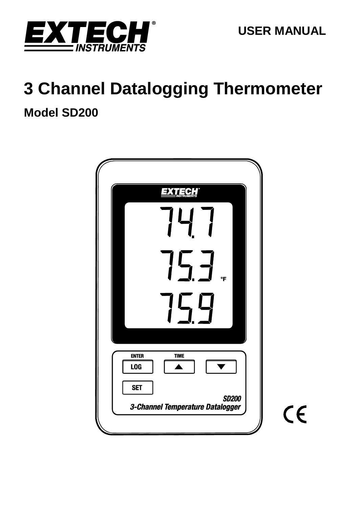

# **3 Channel Datalogging Thermometer Model SD200**

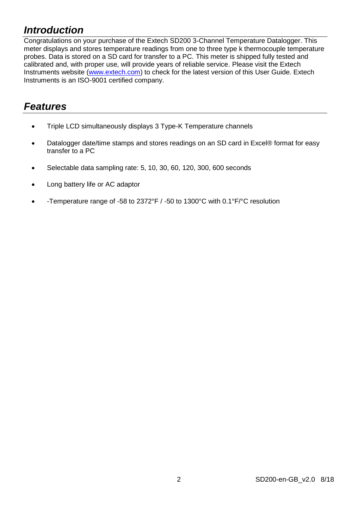# *Introduction*

Congratulations on your purchase of the Extech SD200 3-Channel Temperature Datalogger. This meter displays and stores temperature readings from one to three type k thermocouple temperature probes. Data is stored on a SD card for transfer to a PC. This meter is shipped fully tested and calibrated and, with proper use, will provide years of reliable service. Please visit the Extech Instruments website [\(www.extech.com\)](http://www.extech.com/) to check for the latest version of this User Guide. Extech Instruments is an ISO-9001 certified company.

# *Features*

- Triple LCD simultaneously displays 3 Type-K Temperature channels
- Datalogger date/time stamps and stores readings on an SD card in Excel® format for easy transfer to a PC
- Selectable data sampling rate: 5, 10, 30, 60, 120, 300, 600 seconds
- Long battery life or AC adaptor
- -Temperature range of -58 to 2372°F / -50 to 1300°C with 0.1°F/°C resolution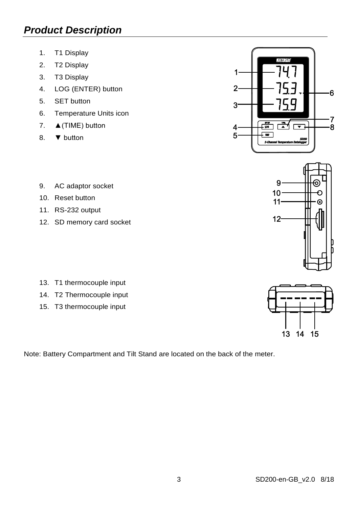# *Product Description*

- 1. T1 Display
- 2. T2 Display
- 3. T3 Display
- 4. LOG (ENTER) button
- 5. SET button
- 6. Temperature Units icon
- 7. ▲(TIME) button
- 8. ▼ button



- 9. AC adaptor socket
- 10. Reset button
- 11. RS-232 output
- 12. SD memory card socket



- 14. T2 Thermocouple input
- 15. T3 thermocouple input





Note: Battery Compartment and Tilt Stand are located on the back of the meter.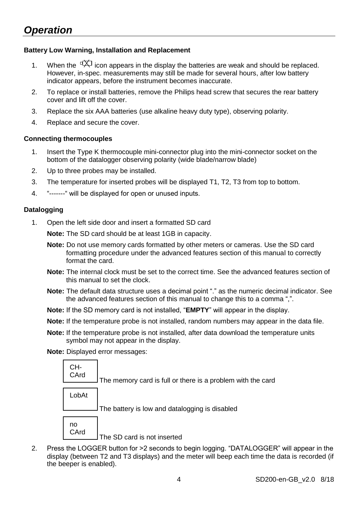# **Battery Low Warning, Installation and Replacement**

- 1. When the  $\sqrt[4]{2}$  icon appears in the display the batteries are weak and should be replaced. However, in-spec. measurements may still be made for several hours, after low battery indicator appears, before the instrument becomes inaccurate.
- 2. To replace or install batteries, remove the Philips head screw that secures the rear battery cover and lift off the cover.
- 3. Replace the six AAA batteries (use alkaline heavy duty type), observing polarity.
- 4. Replace and secure the cover.

### **Connecting thermocouples**

- 1. Insert the Type K thermocouple mini-connector plug into the mini-connector socket on the bottom of the datalogger observing polarity (wide blade/narrow blade)
- 2. Up to three probes may be installed.
- 3. The temperature for inserted probes will be displayed T1, T2, T3 from top to bottom.
- 4. "-------" will be displayed for open or unused inputs.

### **Datalogging**

1. Open the left side door and insert a formatted SD card

**Note:** The SD card should be at least 1GB in capacity.

- **Note:** Do not use memory cards formatted by other meters or cameras. Use the SD card formatting procedure under the advanced features section of this manual to correctly format the card.
- **Note:** The internal clock must be set to the correct time. See the advanced features section of this manual to set the clock.
- **Note:** The default data structure uses a decimal point "." as the numeric decimal indicator. See the advanced features section of this manual to change this to a comma ",".
- **Note:** If the SD memory card is not installed, "**EMPTY**" will appear in the display.
- **Note:** If the temperature probe is not installed, random numbers may appear in the data file.
- **Note:** If the temperature probe is not installed, after data download the temperature units symbol may not appear in the display.

**Note:** Displayed error messages:



2. Press the LOGGER button for >2 seconds to begin logging. "DATALOGGER" will appear in the display (between T2 and T3 displays) and the meter will beep each time the data is recorded (if the beeper is enabled).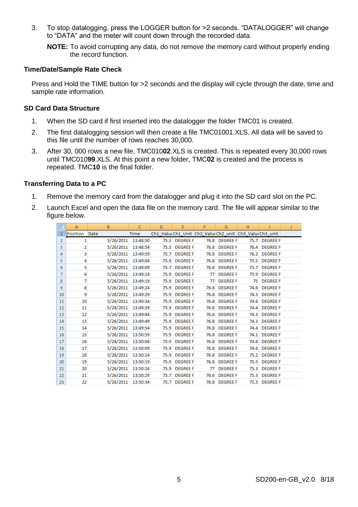3. To stop datalogging, press the LOGGER button for >2 seconds. "DATALOGGER" will change to "DATA" and the meter will count down through the recorded data.

**NOTE:** To avoid corrupting any data, do not remove the memory card without properly ending the record function.

#### **Time/Date/Sample Rate Check**

Press and Hold the TIME button for >2 seconds and the display will cycle through the date, time and sample rate information.

#### **SD Card Data Structure**

- 1. When the SD card if first inserted into the datalogger the folder TMC01 is created.
- 2. The first datalogging session will then create a file TMC01001.XLS. All data will be saved to this file until the number of rows reaches 30,000.
- 3. After 30, 000 rows a new file, TMC010**02**.XLS is created. This is repeated every 30,000 rows until TMC010**99**.XLS. At this point a new folder, TMC**02** is created and the process is repeated. TMC**10** is the final folder.

# **Transferring Data to a PC**

- 1. Remove the memory card from the datalogger and plug it into the SD card slot on the PC.
- 2. Launch Excel and open the data file on the memory card. The file will appear similar to the figure below.

|                | $\mathsf{A}$   | B         | C        | D    | E               | F    | G               | H                                                     |                 | J |
|----------------|----------------|-----------|----------|------|-----------------|------|-----------------|-------------------------------------------------------|-----------------|---|
| $\mathbf{1}$   | Position       | Date      | Time     |      |                 |      |                 | Ch1 Valu(Ch1 Unit Ch2 Valu(Ch2 unit Ch3 Valu(Ch3 unit |                 |   |
| $\overline{2}$ | $\mathbf{1}$   | 5/26/2011 | 13:48:50 | 75.3 | <b>DEGREE F</b> |      | 76.8 DEGREE F   |                                                       | 75.7 DEGREE F   |   |
| 3              | $\overline{a}$ | 5/26/2011 | 13:48:54 | 75.5 | <b>DEGREE F</b> | 76.8 | <b>DEGREE F</b> | 76.4                                                  | <b>DEGREE F</b> |   |
| 4              | 3              | 5/26/2011 | 13:49:59 | 75.7 | <b>DEGREE F</b> | 76.8 | <b>DEGREE F</b> | 76.2                                                  | <b>DEGREE F</b> |   |
| 5              | 4              | 5/26/2011 | 13:49:04 | 75.9 | <b>DEGREE F</b> | 76.8 | <b>DEGREE F</b> | 75.5                                                  | <b>DEGREE F</b> |   |
| 6              | 5              | 5/26/2011 | 13:49:09 | 75.7 | <b>DEGREE F</b> | 76.8 | <b>DEGREE F</b> | 75.7                                                  | <b>DEGREE F</b> |   |
| 7              | 6              | 5/26/2011 | 13:49:14 | 75.9 | <b>DEGREE F</b> | 77   | <b>DEGREE F</b> | 75.9                                                  | <b>DEGREE F</b> |   |
| 8              | $\overline{7}$ | 5/26/2011 | 13:49:19 | 75.9 | <b>DEGREE F</b> | 77   | <b>DEGREE F</b> | 75                                                    | <b>DEGREE F</b> |   |
| 9              | 8              | 5/26/2011 | 13:49:24 | 75.9 | <b>DEGREE F</b> | 76.8 | <b>DEGREE F</b> | 74.6                                                  | <b>DEGREE F</b> |   |
| 10             | 9              | 5/26/2011 | 13:49:29 | 75.9 | <b>DEGREE F</b> | 76.8 | <b>DEGREE F</b> | 74.3                                                  | <b>DEGREE F</b> |   |
| 11             | 10             | 5/26/2011 | 13:49:34 | 75.9 | <b>DEGREE F</b> | 76.8 | <b>DEGREE F</b> | 74.6                                                  | <b>DEGREE F</b> |   |
| 12             | 11             | 5/26/2011 | 13:49:39 | 75.9 | <b>DEGREE F</b> | 76.8 | <b>DEGREE F</b> | 74.4                                                  | <b>DEGREE F</b> |   |
| 13             | 12             | 5/26/2011 | 13:49:44 | 75.9 | <b>DEGREE F</b> | 76.6 | <b>DEGREE F</b> | 74.3                                                  | <b>DEGREE F</b> |   |
| 14             | 13             | 5/26/2011 | 13:49:49 | 75.9 | <b>DEGREE F</b> | 76.8 | <b>DEGREE F</b> | 74.3                                                  | <b>DEGREE F</b> |   |
| 15             | 14             | 5/26/2011 | 13:49:54 | 75.9 | <b>DEGREE F</b> | 76.8 | <b>DEGREE F</b> | 74.4                                                  | <b>DEGREE F</b> |   |
| 16             | 15             | 5/26/2011 | 13:50:59 | 75.9 | <b>DEGREE F</b> | 76.8 | <b>DEGREE F</b> | 74.1                                                  | <b>DEGREE F</b> |   |
| 17             | 16             | 5/26/2011 | 13:50:04 | 75.9 | <b>DEGREE F</b> | 76.8 | <b>DEGREE F</b> | 74.6                                                  | <b>DEGREE F</b> |   |
| 18             | 17             | 5/26/2011 | 13:50:09 | 75.9 | <b>DEGREE F</b> | 76.8 | <b>DEGREE F</b> | 74.6                                                  | <b>DEGREE F</b> |   |
| 19             | 18             | 5/26/2011 | 13:50:14 | 75.9 | <b>DEGREE F</b> | 76.8 | <b>DEGREE F</b> | 75.2                                                  | <b>DEGREE F</b> |   |
| 20             | 19             | 5/26/2011 | 13:50:19 | 75.9 | <b>DEGREE F</b> | 76.8 | <b>DEGREE F</b> | 75.5                                                  | <b>DEGREE F</b> |   |
| 21             | 20             | 5/26/2011 | 13:50:24 | 75.9 | <b>DEGREE F</b> | 77   | <b>DEGREE F</b> | 75.3                                                  | <b>DEGREE F</b> |   |
| 22             | 21             | 5/26/2011 | 13:50:29 | 75.7 | <b>DEGREE F</b> | 76.6 | <b>DEGREE F</b> | 75.3                                                  | <b>DEGREE F</b> |   |
| 23             | 22             | 5/26/2011 | 13:50:34 |      | 75.7 DEGREE F   |      | 76.8 DEGREE F   |                                                       | 75.5 DEGREE F   |   |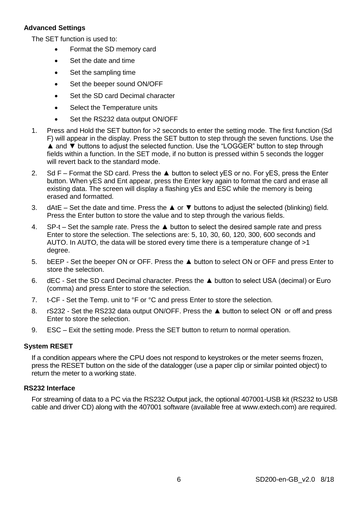# **Advanced Settings**

The SET function is used to:

- Format the SD memory card
- Set the date and time
- Set the sampling time
- Set the beeper sound ON/OFF
- Set the SD card Decimal character
- Select the Temperature units
- Set the RS232 data output ON/OFF
- 1. Press and Hold the SET button for >2 seconds to enter the setting mode. The first function (Sd F) will appear in the display. Press the SET button to step through the seven functions. Use the ▲ and ▼ buttons to adjust the selected function. Use the "LOGGER" button to step through fields within a function. In the SET mode, if no button is pressed within 5 seconds the logger will revert back to the standard mode.
- 2. Sd F Format the SD card. Press the ▲ button to select vES or no. For vES, press the Enter button. When yES and Ent appear, press the Enter key again to format the card and erase all existing data. The screen will display a flashing yEs and ESC while the memory is being erased and formatted.
- 3. dAtE Set the date and time. Press the ▲ or ▼ buttons to adjust the selected (blinking) field. Press the Enter button to store the value and to step through the various fields.
- 4. SP-t Set the sample rate. Press the ▲ button to select the desired sample rate and press Enter to store the selection. The selections are: 5, 10, 30, 60, 120, 300, 600 seconds and AUTO. In AUTO, the data will be stored every time there is a temperature change of >1 degree.
- 5. bEEP Set the beeper ON or OFF. Press the ▲ button to select ON or OFF and press Enter to store the selection.
- 6. dEC Set the SD card Decimal character. Press the ▲ button to select USA (decimal) or Euro (comma) and press Enter to store the selection.
- 7. t-CF Set the Temp. unit to °F or °C and press Enter to store the selection.
- 8. rS232 Set the RS232 data output ON/OFF. Press the ▲ button to select ON or off and press Enter to store the selection.
- 9. ESC Exit the setting mode. Press the SET button to return to normal operation.

# **System RESET**

If a condition appears where the CPU does not respond to keystrokes or the meter seems frozen, press the RESET button on the side of the datalogger (use a paper clip or similar pointed object) to return the meter to a working state.

#### **RS232 Interface**

For streaming of data to a PC via the RS232 Output jack, the optional 407001-USB kit (RS232 to USB cable and driver CD) along with the 407001 software (available free at www.extech.com) are required.